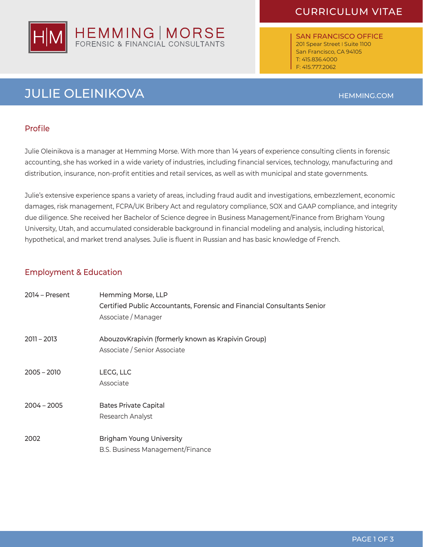# CURRICULUM VITAE



SAN FRANCISCO OFFICE 201 Spear Street I Suite 1100 San Francisco, CA 94105 T: 415.836.4000 F: 415.777.2062

# **JULIE OLEINIKOVA HEMMING.COM**

### Profile

Julie Oleinikova is a manager at Hemming Morse. With more than 14 years of experience consulting clients in forensic accounting, she has worked in a wide variety of industries, including financial services, technology, manufacturing and distribution, insurance, non-profit entities and retail services, as well as with municipal and state governments.

Julie's extensive experience spans a variety of areas, including fraud audit and investigations, embezzlement, economic damages, risk management, FCPA/UK Bribery Act and regulatory compliance, SOX and GAAP compliance, and integrity due diligence. She received her Bachelor of Science degree in Business Management/Finance from Brigham Young University, Utah, and accumulated considerable background in financial modeling and analysis, including historical, hypothetical, and market trend analyses. Julie is fluent in Russian and has basic knowledge of French.

### Employment & Education

| $2014 - Present$ | Hemming Morse, LLP<br>Certified Public Accountants, Forensic and Financial Consultants Senior<br>Associate / Manager |
|------------------|----------------------------------------------------------------------------------------------------------------------|
| $2011 - 2013$    | AbouzovKrapivin (formerly known as Krapivin Group)<br>Associate / Senior Associate                                   |
| $2005 - 2010$    | LECG, LLC<br>Associate                                                                                               |
| $2004 - 2005$    | <b>Bates Private Capital</b><br>Research Analyst                                                                     |
| 2002             | <b>Brigham Young University</b><br><b>B.S. Business Management/Finance</b>                                           |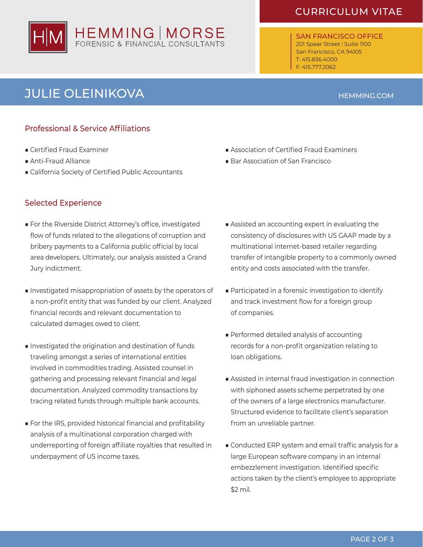# HEMMING | MORSE<br>FORENSIC & FINANCIAL CONSULTANTS

# CURRICULUM VITAE

SAN FRANCISCO OFFICE 201 Spear Street | Suite 1100 San Francisco, CA 94105 T: 415.836.4000 F: 415.777.2062

# **JULIE OLEINIKOVA HEMMING.COM**

## Professional & Service Affiliations

- Certified Fraud Examiner
- Anti-Fraud Alliance
- California Society of Certified Public Accountants

### Selected Experience

- For the Riverside District Attorney's office, investigated flow of funds related to the allegations of corruption and bribery payments to a California public official by local area developers. Ultimately, our analysis assisted a Grand Jury indictment.
- Investigated misappropriation of assets by the operators of a non-profit entity that was funded by our client. Analyzed financial records and relevant documentation to calculated damages owed to client.
- Investigated the origination and destination of funds traveling amongst a series of international entities involved in commodities trading. Assisted counsel in gathering and processing relevant financial and legal documentation. Analyzed commodity transactions by tracing related funds through multiple bank accounts.
- For the IRS, provided historical financial and profitability analysis of a multinational corporation charged with underreporting of foreign affiliate royalties that resulted in underpayment of US income taxes.
- Association of Certified Fraud Examiners
- Bar Association of San Francisco
- Assisted an accounting expert in evaluating the consistency of disclosures with US GAAP made by a multinational internet-based retailer regarding transfer of intangible property to a commonly owned entity and costs associated with the transfer.
- Participated in a forensic investigation to identify and track investment flow for a foreign group of companies.
- Performed detailed analysis of accounting records for a non-profit organization relating to loan obligations.
- Assisted in internal fraud investigation in connection with siphoned assets scheme perpetrated by one of the owners of a large electronics manufacturer. Structured evidence to facilitate client's separation from an unreliable partner.
- Conducted ERP system and email traffic analysis for a large European software company in an internal embezzlement investigation. Identified specific actions taken by the client's employee to appropriate \$2 mil.